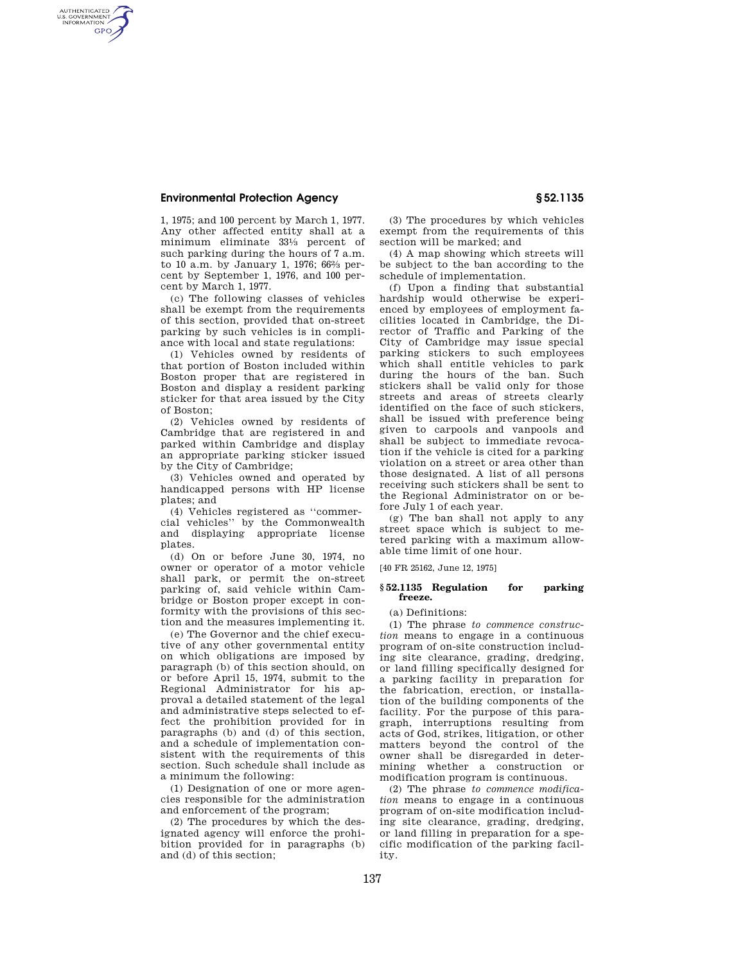## **Environmental Protection Agency § 52.1135**

AUTHENTICATED<br>U.S. GOVERNMENT<br>INFORMATION **GPO** 

> 1, 1975; and 100 percent by March 1, 1977. Any other affected entity shall at a minimum eliminate 331⁄3 percent of such parking during the hours of 7 a.m. to 10 a.m. by January 1, 1976; 662⁄3 percent by September 1, 1976, and 100 percent by March 1, 1977.

> (c) The following classes of vehicles shall be exempt from the requirements of this section, provided that on-street parking by such vehicles is in compliance with local and state regulations:

> (1) Vehicles owned by residents of that portion of Boston included within Boston proper that are registered in Boston and display a resident parking sticker for that area issued by the City of Boston;

> (2) Vehicles owned by residents of Cambridge that are registered in and parked within Cambridge and display an appropriate parking sticker issued by the City of Cambridge;

> (3) Vehicles owned and operated by handicapped persons with HP license plates; and

> (4) Vehicles registered as ''commercial vehicles'' by the Commonwealth and displaying appropriate license plates.

> (d) On or before June 30, 1974, no owner or operator of a motor vehicle shall park, or permit the on-street parking of, said vehicle within Cambridge or Boston proper except in conformity with the provisions of this section and the measures implementing it.

> (e) The Governor and the chief executive of any other governmental entity on which obligations are imposed by paragraph (b) of this section should, on or before April 15, 1974, submit to the Regional Administrator for his approval a detailed statement of the legal and administrative steps selected to effect the prohibition provided for in paragraphs (b) and (d) of this section, and a schedule of implementation consistent with the requirements of this section. Such schedule shall include as a minimum the following:

(1) Designation of one or more agencies responsible for the administration and enforcement of the program;

(2) The procedures by which the designated agency will enforce the prohibition provided for in paragraphs (b) and (d) of this section;

(3) The procedures by which vehicles exempt from the requirements of this section will be marked; and

(4) A map showing which streets will be subject to the ban according to the schedule of implementation.

(f) Upon a finding that substantial hardship would otherwise be experienced by employees of employment facilities located in Cambridge, the Director of Traffic and Parking of the City of Cambridge may issue special parking stickers to such employees which shall entitle vehicles to park during the hours of the ban. Such stickers shall be valid only for those streets and areas of streets clearly identified on the face of such stickers, shall be issued with preference being given to carpools and vanpools and shall be subject to immediate revocation if the vehicle is cited for a parking violation on a street or area other than those designated. A list of all persons receiving such stickers shall be sent to the Regional Administrator on or before July 1 of each year.

(g) The ban shall not apply to any street space which is subject to metered parking with a maximum allowable time limit of one hour.

[40 FR 25162, June 12, 1975]

### **§ 52.1135 Regulation for parking freeze.**

(a) Definitions:

(1) The phrase *to commence construction* means to engage in a continuous program of on-site construction including site clearance, grading, dredging, or land filling specifically designed for a parking facility in preparation for the fabrication, erection, or installation of the building components of the facility. For the purpose of this paragraph, interruptions resulting from acts of God, strikes, litigation, or other matters beyond the control of the owner shall be disregarded in determining whether a construction or modification program is continuous.

(2) The phrase *to commence modification* means to engage in a continuous program of on-site modification including site clearance, grading, dredging, or land filling in preparation for a specific modification of the parking facility.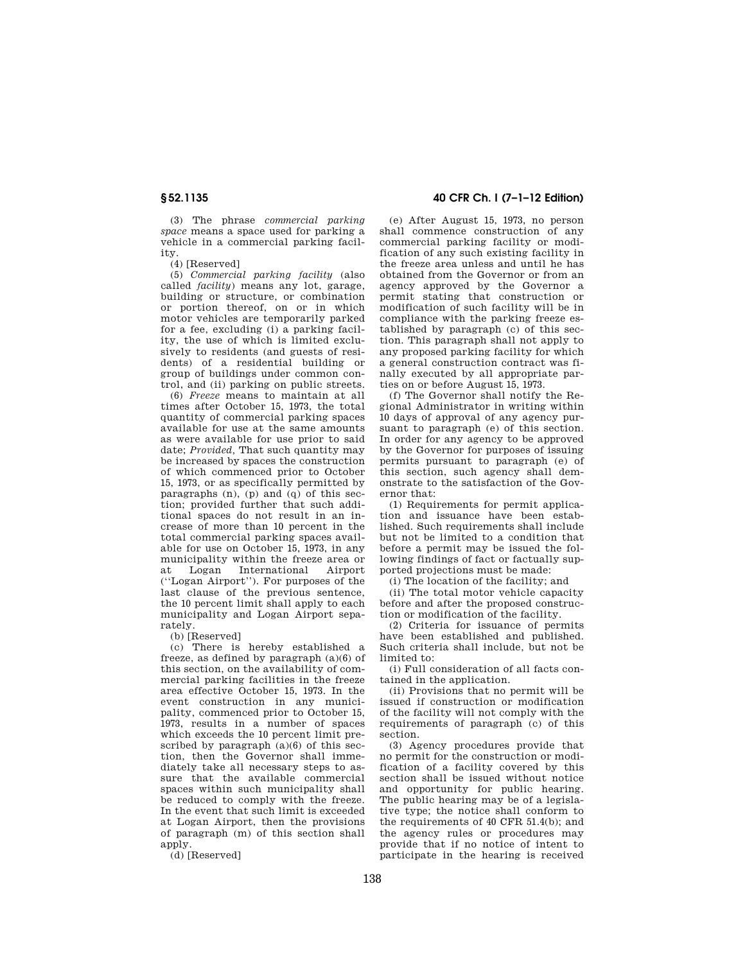(3) The phrase *commercial parking space* means a space used for parking a vehicle in a commercial parking facility.

(4) [Reserved]

(5) *Commercial parking facility* (also called *facility*) means any lot, garage, building or structure, or combination or portion thereof, on or in which motor vehicles are temporarily parked for a fee, excluding (i) a parking facility, the use of which is limited exclusively to residents (and guests of residents) of a residential building or group of buildings under common control, and (ii) parking on public streets.

(6) *Freeze* means to maintain at all times after October 15, 1973, the total quantity of commercial parking spaces available for use at the same amounts as were available for use prior to said date; *Provided,* That such quantity may be increased by spaces the construction of which commenced prior to October 15, 1973, or as specifically permitted by paragraphs  $(n)$ ,  $(p)$  and  $(q)$  of this section; provided further that such additional spaces do not result in an increase of more than 10 percent in the total commercial parking spaces available for use on October 15, 1973, in any municipality within the freeze area or at Logan International Airport (''Logan Airport''). For purposes of the last clause of the previous sentence, the 10 percent limit shall apply to each municipality and Logan Airport separately.

(b) [Reserved]

(c) There is hereby established a freeze, as defined by paragraph  $(a)(6)$  of this section, on the availability of commercial parking facilities in the freeze area effective October 15, 1973. In the event construction in any municipality, commenced prior to October 15, 1973, results in a number of spaces which exceeds the 10 percent limit prescribed by paragraph  $(a)(6)$  of this section, then the Governor shall immediately take all necessary steps to assure that the available commercial spaces within such municipality shall be reduced to comply with the freeze. In the event that such limit is exceeded at Logan Airport, then the provisions of paragraph (m) of this section shall apply.

(d) [Reserved]

# **§ 52.1135 40 CFR Ch. I (7–1–12 Edition)**

(e) After August 15, 1973, no person shall commence construction of any commercial parking facility or modification of any such existing facility in the freeze area unless and until he has obtained from the Governor or from an agency approved by the Governor a permit stating that construction or modification of such facility will be in compliance with the parking freeze established by paragraph (c) of this section. This paragraph shall not apply to any proposed parking facility for which a general construction contract was finally executed by all appropriate parties on or before August 15, 1973.

(f) The Governor shall notify the Regional Administrator in writing within 10 days of approval of any agency pursuant to paragraph (e) of this section. In order for any agency to be approved by the Governor for purposes of issuing permits pursuant to paragraph (e) of this section, such agency shall demonstrate to the satisfaction of the Governor that:

(1) Requirements for permit application and issuance have been established. Such requirements shall include but not be limited to a condition that before a permit may be issued the following findings of fact or factually supported projections must be made:

(i) The location of the facility; and

(ii) The total motor vehicle capacity before and after the proposed construction or modification of the facility.

(2) Criteria for issuance of permits have been established and published. Such criteria shall include, but not be limited to:

(i) Full consideration of all facts contained in the application.

(ii) Provisions that no permit will be issued if construction or modification of the facility will not comply with the requirements of paragraph (c) of this section.

(3) Agency procedures provide that no permit for the construction or modification of a facility covered by this section shall be issued without notice and opportunity for public hearing. The public hearing may be of a legislative type; the notice shall conform to the requirements of 40 CFR 51.4(b); and the agency rules or procedures may provide that if no notice of intent to participate in the hearing is received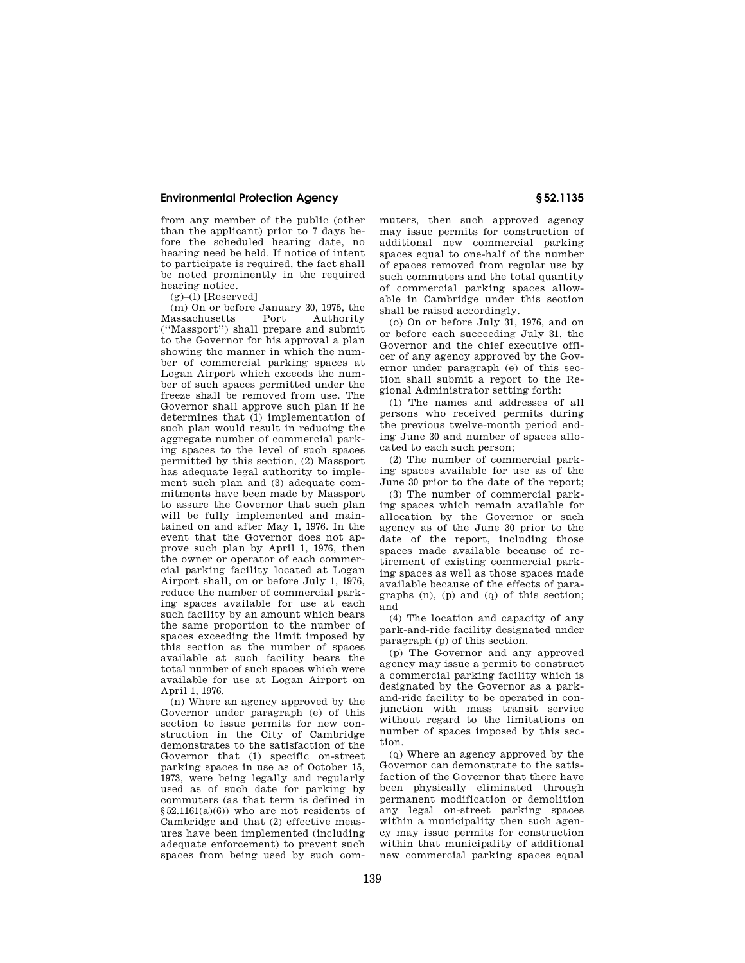## **Environmental Protection Agency § 52.1135**

from any member of the public (other than the applicant) prior to 7 days before the scheduled hearing date, no hearing need be held. If notice of intent to participate is required, the fact shall be noted prominently in the required hearing notice.

 $(g)$ –(1) [Reserved]

(m) On or before January 30, 1975, the Massachusetts (''Massport'') shall prepare and submit to the Governor for his approval a plan showing the manner in which the number of commercial parking spaces at Logan Airport which exceeds the number of such spaces permitted under the freeze shall be removed from use. The Governor shall approve such plan if he determines that (1) implementation of such plan would result in reducing the aggregate number of commercial parking spaces to the level of such spaces permitted by this section, (2) Massport has adequate legal authority to implement such plan and (3) adequate commitments have been made by Massport to assure the Governor that such plan will be fully implemented and maintained on and after May 1, 1976. In the event that the Governor does not approve such plan by April 1, 1976, then the owner or operator of each commercial parking facility located at Logan Airport shall, on or before July 1, 1976, reduce the number of commercial parking spaces available for use at each such facility by an amount which bears the same proportion to the number of spaces exceeding the limit imposed by this section as the number of spaces available at such facility bears the total number of such spaces which were available for use at Logan Airport on April 1, 1976.

(n) Where an agency approved by the Governor under paragraph (e) of this section to issue permits for new construction in the City of Cambridge demonstrates to the satisfaction of the Governor that (1) specific on-street parking spaces in use as of October 15, 1973, were being legally and regularly used as of such date for parking by commuters (as that term is defined in  $§52.1161(a)(6))$  who are not residents of Cambridge and that (2) effective measures have been implemented (including adequate enforcement) to prevent such spaces from being used by such commuters, then such approved agency may issue permits for construction of additional new commercial parking spaces equal to one-half of the number of spaces removed from regular use by such commuters and the total quantity of commercial parking spaces allowable in Cambridge under this section shall be raised accordingly.

(o) On or before July 31, 1976, and on or before each succeeding July 31, the Governor and the chief executive officer of any agency approved by the Governor under paragraph (e) of this section shall submit a report to the Regional Administrator setting forth:

(1) The names and addresses of all persons who received permits during the previous twelve-month period ending June 30 and number of spaces allocated to each such person;

(2) The number of commercial parking spaces available for use as of the June 30 prior to the date of the report;

(3) The number of commercial parking spaces which remain available for allocation by the Governor or such agency as of the June 30 prior to the date of the report, including those spaces made available because of retirement of existing commercial parking spaces as well as those spaces made available because of the effects of paragraphs (n), (p) and (q) of this section; and

(4) The location and capacity of any park-and-ride facility designated under paragraph (p) of this section.

(p) The Governor and any approved agency may issue a permit to construct a commercial parking facility which is designated by the Governor as a parkand-ride facility to be operated in conjunction with mass transit service without regard to the limitations on number of spaces imposed by this section.

(q) Where an agency approved by the Governor can demonstrate to the satisfaction of the Governor that there have been physically eliminated through permanent modification or demolition any legal on-street parking spaces within a municipality then such agency may issue permits for construction within that municipality of additional new commercial parking spaces equal